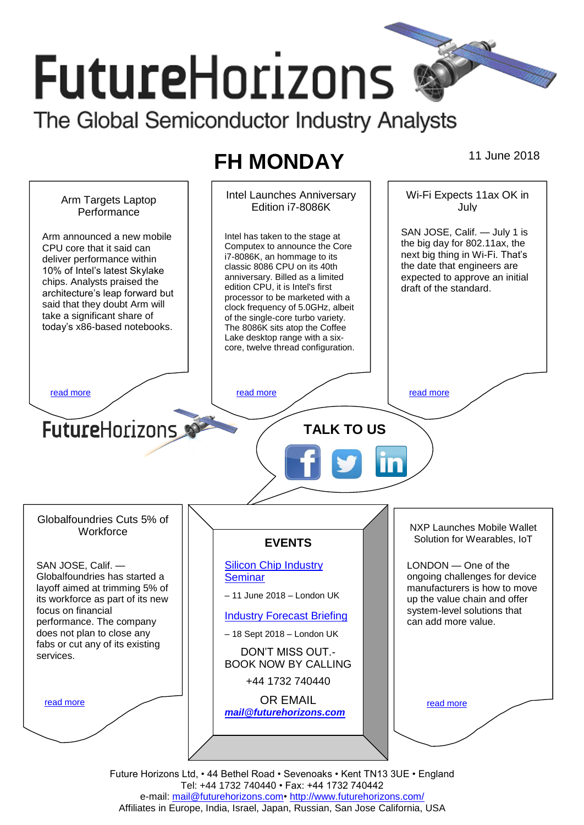# **FutureHorizons** The Global Semiconductor Industry Analysts

# **FH MONDAY** 11 June 2018



Future Horizons Ltd, • 44 Bethel Road • Sevenoaks • Kent TN13 3UE • England Tel: +44 1732 740440 • Fax: +44 1732 740442 e-mail: mail@futurehorizons.com• http://www.futurehorizons.com/ Affiliates in Europe, India, Israel, Japan, Russian, San Jose California, USA